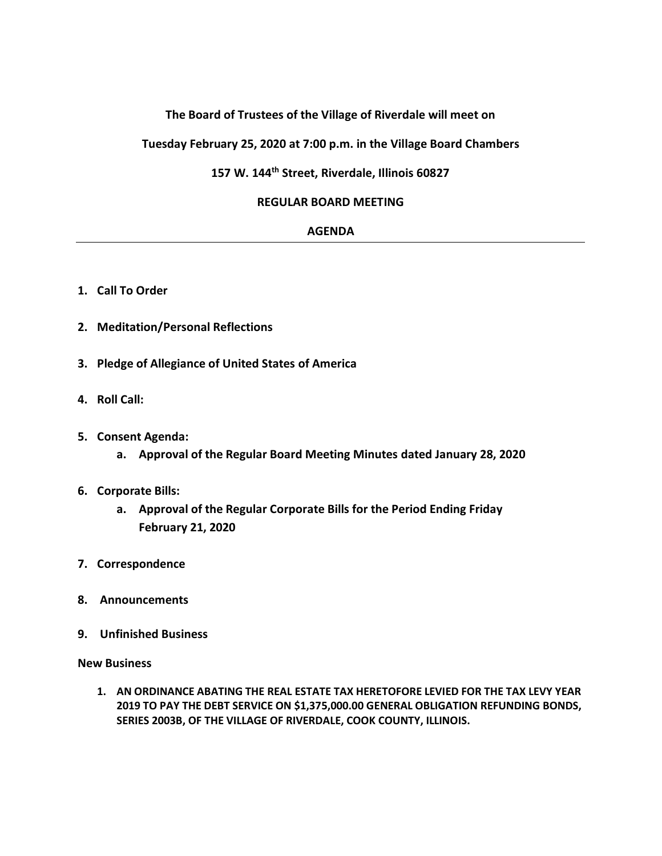# **The Board of Trustees of the Village of Riverdale will meet on**

**Tuesday February 25, 2020 at 7:00 p.m. in the Village Board Chambers**

# **157 W. 144th Street, Riverdale, Illinois 60827**

# **REGULAR BOARD MEETING**

#### **AGENDA**

- **1. Call To Order**
- **2. Meditation/Personal Reflections**
- **3. Pledge of Allegiance of United States of America**
- **4. Roll Call:**
- **5. Consent Agenda:**
	- **a. Approval of the Regular Board Meeting Minutes dated January 28, 2020**

# **6. Corporate Bills:**

- **a. Approval of the Regular Corporate Bills for the Period Ending Friday February 21, 2020**
- **7. Correspondence**
- **8. Announcements**
- **9. Unfinished Business**

**New Business**

**1. AN ORDINANCE ABATING THE REAL ESTATE TAX HERETOFORE LEVIED FOR THE TAX LEVY YEAR 2019 TO PAY THE DEBT SERVICE ON \$1,375,000.00 GENERAL OBLIGATION REFUNDING BONDS, SERIES 2003B, OF THE VILLAGE OF RIVERDALE, COOK COUNTY, ILLINOIS.**